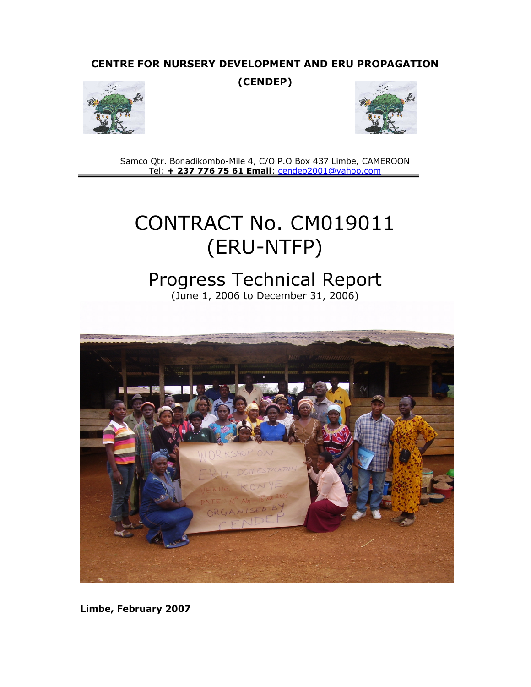# CENTRE FOR NURSERY DEVELOPMENT AND ERU PROPAGATION

(CENDEP)





Samco Qtr. Bonadikombo-Mile 4, C/O P.O Box 437 Limbe, CAMEROON Tel: + 237 776 75 61 Email: cendep2001@yahoo.com

# CONTRACT No. CM019011 (ERU-NTFP)

# Progress Technical Report

(June 1, 2006 to December 31, 2006)



Limbe, February 2007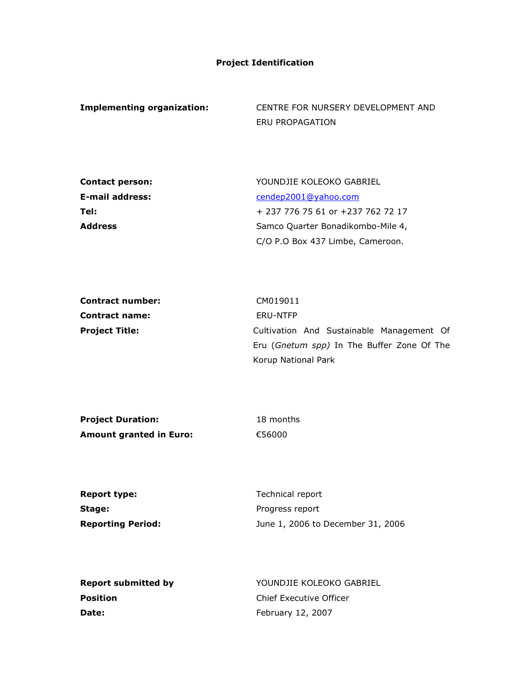## Project Identification

Implementing organization: CENTRE FOR NURSERY DEVELOPMENT AND ERU PROPAGATION

| <b>Contact person:</b> | YOUNDJIE KOLEOKO GABRIEL          |
|------------------------|-----------------------------------|
| <b>E-mail address:</b> | cendep2001@yahoo.com              |
| Tel:                   | + 237 776 75 61 or +237 762 72 17 |
| <b>Address</b>         | Samco Quarter Bonadikombo-Mile 4, |
|                        | C/O P.O Box 437 Limbe, Cameroon.  |

| Contract number:      | CM019011                                            |
|-----------------------|-----------------------------------------------------|
| <b>Contract name:</b> | ERU-NTFP                                            |
| <b>Project Title:</b> | Cultivation And Sustainable Management Of           |
|                       | Eru ( <i>Gnetum spp</i> ) In The Buffer Zone Of The |
|                       | Korup National Park                                 |

| <b>Project Duration:</b> | 18 months |
|--------------------------|-----------|
| Amount granted in Euro:  | €56000    |

| Report type:      | Technical report                  |
|-------------------|-----------------------------------|
| Stage:            | Progress report                   |
| Reporting Period: | June 1, 2006 to December 31, 2006 |

| Report submitted by | YOUNDJIE KOLEOKO GABRIEL |
|---------------------|--------------------------|
| Position            | Chief Executive Officer  |
| Date:               | February 12, 2007        |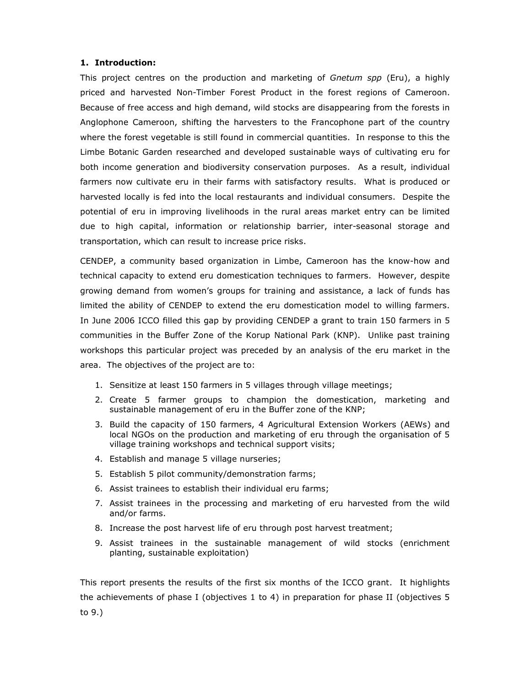### 1. Introduction:

This project centres on the production and marketing of Gnetum spp (Eru), a highly priced and harvested Non-Timber Forest Product in the forest regions of Cameroon. Because of free access and high demand, wild stocks are disappearing from the forests in Anglophone Cameroon, shifting the harvesters to the Francophone part of the country where the forest vegetable is still found in commercial quantities. In response to this the Limbe Botanic Garden researched and developed sustainable ways of cultivating eru for both income generation and biodiversity conservation purposes. As a result, individual farmers now cultivate eru in their farms with satisfactory results. What is produced or harvested locally is fed into the local restaurants and individual consumers. Despite the potential of eru in improving livelihoods in the rural areas market entry can be limited due to high capital, information or relationship barrier, inter-seasonal storage and transportation, which can result to increase price risks.

CENDEP, a community based organization in Limbe, Cameroon has the know-how and technical capacity to extend eru domestication techniques to farmers. However, despite growing demand from women's groups for training and assistance, a lack of funds has limited the ability of CENDEP to extend the eru domestication model to willing farmers. In June 2006 ICCO filled this gap by providing CENDEP a grant to train 150 farmers in 5 communities in the Buffer Zone of the Korup National Park (KNP). Unlike past training workshops this particular project was preceded by an analysis of the eru market in the area. The objectives of the project are to:

- 1. Sensitize at least 150 farmers in 5 villages through village meetings;
- 2. Create 5 farmer groups to champion the domestication, marketing and sustainable management of eru in the Buffer zone of the KNP;
- 3. Build the capacity of 150 farmers, 4 Agricultural Extension Workers (AEWs) and local NGOs on the production and marketing of eru through the organisation of 5 village training workshops and technical support visits;
- 4. Establish and manage 5 village nurseries;
- 5. Establish 5 pilot community/demonstration farms;
- 6. Assist trainees to establish their individual eru farms;
- 7. Assist trainees in the processing and marketing of eru harvested from the wild and/or farms.
- 8. Increase the post harvest life of eru through post harvest treatment;
- 9. Assist trainees in the sustainable management of wild stocks (enrichment planting, sustainable exploitation)

This report presents the results of the first six months of the ICCO grant. It highlights the achievements of phase I (objectives 1 to 4) in preparation for phase II (objectives 5 to 9.)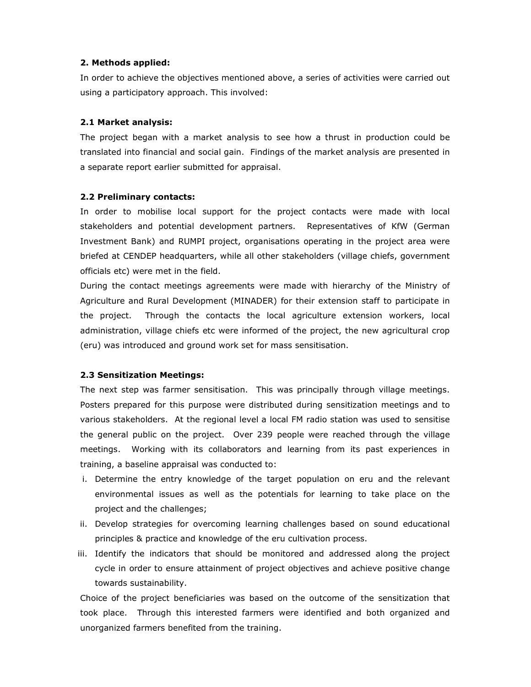#### 2. Methods applied:

In order to achieve the objectives mentioned above, a series of activities were carried out using a participatory approach. This involved:

#### 2.1 Market analysis:

The project began with a market analysis to see how a thrust in production could be translated into financial and social gain. Findings of the market analysis are presented in a separate report earlier submitted for appraisal.

#### 2.2 Preliminary contacts:

In order to mobilise local support for the project contacts were made with local stakeholders and potential development partners. Representatives of KfW (German Investment Bank) and RUMPI project, organisations operating in the project area were briefed at CENDEP headquarters, while all other stakeholders (village chiefs, government officials etc) were met in the field.

During the contact meetings agreements were made with hierarchy of the Ministry of Agriculture and Rural Development (MINADER) for their extension staff to participate in the project. Through the contacts the local agriculture extension workers, local administration, village chiefs etc were informed of the project, the new agricultural crop (eru) was introduced and ground work set for mass sensitisation.

#### 2.3 Sensitization Meetings:

The next step was farmer sensitisation. This was principally through village meetings. Posters prepared for this purpose were distributed during sensitization meetings and to various stakeholders. At the regional level a local FM radio station was used to sensitise the general public on the project. Over 239 people were reached through the village meetings. Working with its collaborators and learning from its past experiences in training, a baseline appraisal was conducted to:

- i. Determine the entry knowledge of the target population on eru and the relevant environmental issues as well as the potentials for learning to take place on the project and the challenges;
- ii. Develop strategies for overcoming learning challenges based on sound educational principles & practice and knowledge of the eru cultivation process.
- iii. Identify the indicators that should be monitored and addressed along the project cycle in order to ensure attainment of project objectives and achieve positive change towards sustainability.

Choice of the project beneficiaries was based on the outcome of the sensitization that took place. Through this interested farmers were identified and both organized and unorganized farmers benefited from the training.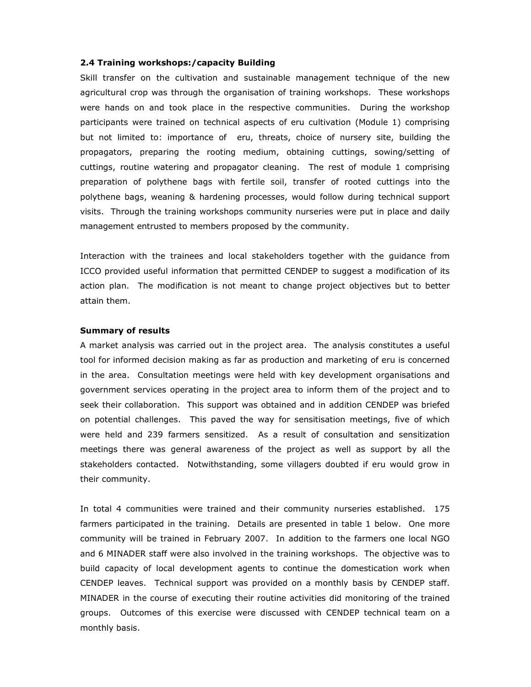#### 2.4 Training workshops:/capacity Building

Skill transfer on the cultivation and sustainable management technique of the new agricultural crop was through the organisation of training workshops. These workshops were hands on and took place in the respective communities. During the workshop participants were trained on technical aspects of eru cultivation (Module 1) comprising but not limited to: importance of eru, threats, choice of nursery site, building the propagators, preparing the rooting medium, obtaining cuttings, sowing/setting of cuttings, routine watering and propagator cleaning. The rest of module 1 comprising preparation of polythene bags with fertile soil, transfer of rooted cuttings into the polythene bags, weaning & hardening processes, would follow during technical support visits. Through the training workshops community nurseries were put in place and daily management entrusted to members proposed by the community.

Interaction with the trainees and local stakeholders together with the guidance from ICCO provided useful information that permitted CENDEP to suggest a modification of its action plan. The modification is not meant to change project objectives but to better attain them.

#### Summary of results

A market analysis was carried out in the project area. The analysis constitutes a useful tool for informed decision making as far as production and marketing of eru is concerned in the area. Consultation meetings were held with key development organisations and government services operating in the project area to inform them of the project and to seek their collaboration. This support was obtained and in addition CENDEP was briefed on potential challenges. This paved the way for sensitisation meetings, five of which were held and 239 farmers sensitized. As a result of consultation and sensitization meetings there was general awareness of the project as well as support by all the stakeholders contacted. Notwithstanding, some villagers doubted if eru would grow in their community.

In total 4 communities were trained and their community nurseries established. 175 farmers participated in the training. Details are presented in table 1 below. One more community will be trained in February 2007. In addition to the farmers one local NGO and 6 MINADER staff were also involved in the training workshops. The objective was to build capacity of local development agents to continue the domestication work when CENDEP leaves. Technical support was provided on a monthly basis by CENDEP staff. MINADER in the course of executing their routine activities did monitoring of the trained groups. Outcomes of this exercise were discussed with CENDEP technical team on a monthly basis.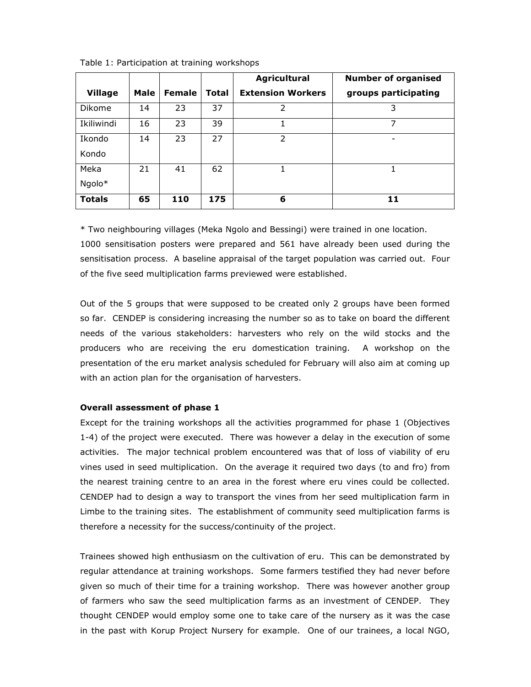|                |      |               |       | <b>Agricultural</b>      | <b>Number of organised</b> |
|----------------|------|---------------|-------|--------------------------|----------------------------|
| <b>Village</b> | Male | <b>Female</b> | Total | <b>Extension Workers</b> | groups participating       |
| Dikome         | 14   | 23            | 37    | $\mathcal{P}$            | 3                          |
| Ikiliwindi     | 16   | 23            | 39    |                          | 7                          |
| Ikondo         | 14   | 23            | 27    | フ                        |                            |
| Kondo          |      |               |       |                          |                            |
| Meka           | 21   | 41            | 62    |                          |                            |
| Ngolo*         |      |               |       |                          |                            |
| <b>Totals</b>  | 65   | 110           | 175   | 6                        | 11                         |

Table 1: Participation at training workshops

\* Two neighbouring villages (Meka Ngolo and Bessingi) were trained in one location. 1000 sensitisation posters were prepared and 561 have already been used during the sensitisation process. A baseline appraisal of the target population was carried out. Four

of the five seed multiplication farms previewed were established.

Out of the 5 groups that were supposed to be created only 2 groups have been formed so far. CENDEP is considering increasing the number so as to take on board the different needs of the various stakeholders: harvesters who rely on the wild stocks and the producers who are receiving the eru domestication training. A workshop on the presentation of the eru market analysis scheduled for February will also aim at coming up with an action plan for the organisation of harvesters.

## Overall assessment of phase 1

Except for the training workshops all the activities programmed for phase 1 (Objectives 1-4) of the project were executed. There was however a delay in the execution of some activities. The major technical problem encountered was that of loss of viability of eru vines used in seed multiplication. On the average it required two days (to and fro) from the nearest training centre to an area in the forest where eru vines could be collected. CENDEP had to design a way to transport the vines from her seed multiplication farm in Limbe to the training sites. The establishment of community seed multiplication farms is therefore a necessity for the success/continuity of the project.

Trainees showed high enthusiasm on the cultivation of eru. This can be demonstrated by regular attendance at training workshops. Some farmers testified they had never before given so much of their time for a training workshop. There was however another group of farmers who saw the seed multiplication farms as an investment of CENDEP. They thought CENDEP would employ some one to take care of the nursery as it was the case in the past with Korup Project Nursery for example. One of our trainees, a local NGO,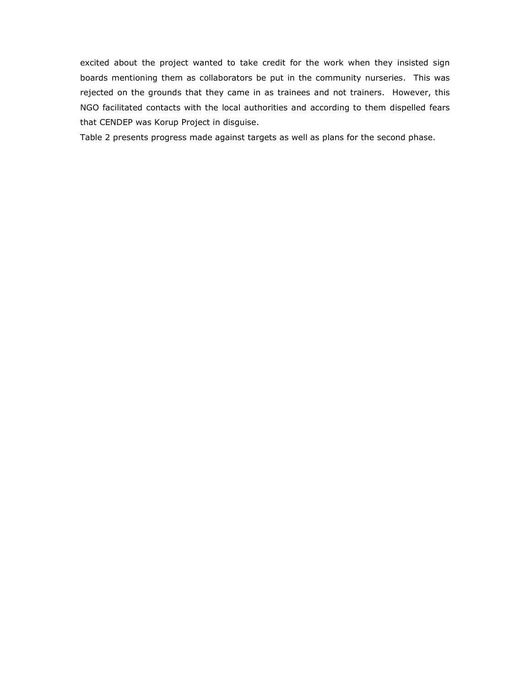excited about the project wanted to take credit for the work when they insisted sign boards mentioning them as collaborators be put in the community nurseries. This was rejected on the grounds that they came in as trainees and not trainers. However, this NGO facilitated contacts with the local authorities and according to them dispelled fears that CENDEP was Korup Project in disguise.

Table 2 presents progress made against targets as well as plans for the second phase.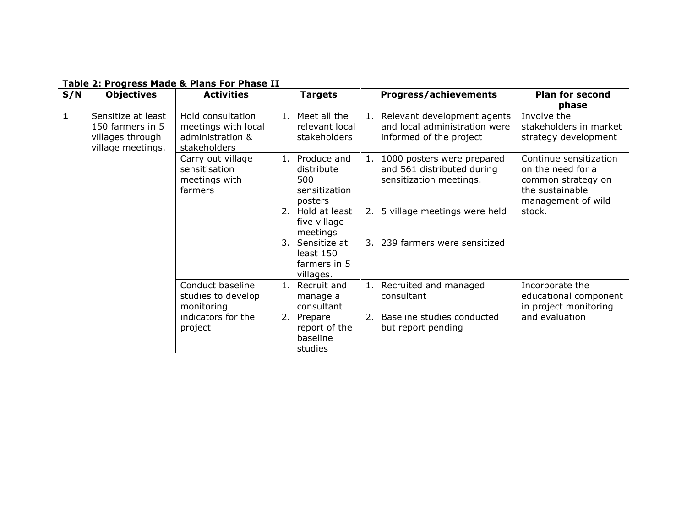| S/N          | <b>Objectives</b>  | <b>Activities</b>   | <b>Targets</b>    | <b>Progress/achievements</b>      | <b>Plan for second</b> |
|--------------|--------------------|---------------------|-------------------|-----------------------------------|------------------------|
|              |                    |                     |                   |                                   | phase                  |
| $\mathbf{1}$ | Sensitize at least | Hold consultation   | 1. Meet all the   | Relevant development agents<br>1. | Involve the            |
|              | 150 farmers in 5   | meetings with local | relevant local    | and local administration were     | stakeholders in market |
|              | villages through   | administration &    | stakeholders      | informed of the project           | strategy development   |
|              | village meetings.  | stakeholders        |                   |                                   |                        |
|              |                    | Carry out village   | Produce and<br>1. | 1000 posters were prepared<br>1.  | Continue sensitization |
|              |                    | sensitisation       | distribute        | and 561 distributed during        | on the need for a      |
|              |                    | meetings with       | 500               | sensitization meetings.           | common strategy on     |
|              |                    | farmers             | sensitization     |                                   | the sustainable        |
|              |                    |                     | posters           |                                   | management of wild     |
|              |                    |                     | 2. Hold at least  | 2. 5 village meetings were held   | stock.                 |
|              |                    |                     | five village      |                                   |                        |
|              |                    |                     | meetings          |                                   |                        |
|              |                    |                     | 3. Sensitize at   | 3. 239 farmers were sensitized    |                        |
|              |                    |                     | least 150         |                                   |                        |
|              |                    |                     |                   |                                   |                        |
|              |                    |                     | farmers in 5      |                                   |                        |
|              |                    |                     | villages.         |                                   |                        |
|              |                    | Conduct baseline    | Recruit and<br>1. | 1. Recruited and managed          | Incorporate the        |
|              |                    | studies to develop  | manage a          | consultant                        | educational component  |
|              |                    | monitoring          | consultant        |                                   | in project monitoring  |
|              |                    | indicators for the  | 2.<br>Prepare     | Baseline studies conducted<br>2.  | and evaluation         |
|              |                    | project             | report of the     | but report pending                |                        |
|              |                    |                     | baseline          |                                   |                        |
|              |                    |                     | studies           |                                   |                        |

# Table 2: Progress Made & Plans For Phase II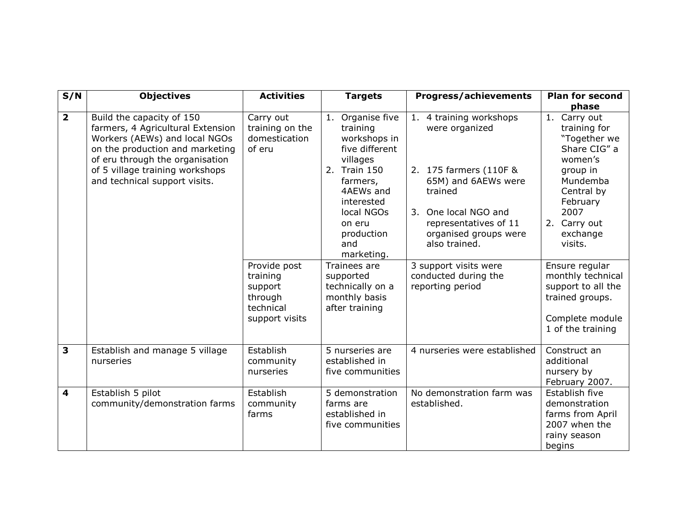| S/N                     | <b>Objectives</b>                                                                                                                                                                                                                         | <b>Activities</b>                                                             | <b>Targets</b>                                                                                                                                                                               | <b>Progress/achievements</b>                                                                                                                                                                     | <b>Plan for second</b><br>phase                                                                                                                                          |
|-------------------------|-------------------------------------------------------------------------------------------------------------------------------------------------------------------------------------------------------------------------------------------|-------------------------------------------------------------------------------|----------------------------------------------------------------------------------------------------------------------------------------------------------------------------------------------|--------------------------------------------------------------------------------------------------------------------------------------------------------------------------------------------------|--------------------------------------------------------------------------------------------------------------------------------------------------------------------------|
| $\overline{\mathbf{2}}$ | Build the capacity of 150<br>farmers, 4 Agricultural Extension<br>Workers (AEWs) and local NGOs<br>on the production and marketing<br>of eru through the organisation<br>of 5 village training workshops<br>and technical support visits. | Carry out<br>training on the<br>domestication<br>of eru                       | 1. Organise five<br>training<br>workshops in<br>five different<br>villages<br>2. Train 150<br>farmers,<br>4AEWs and<br>interested<br>local NGOs<br>on eru<br>production<br>and<br>marketing. | 1. 4 training workshops<br>were organized<br>2. 175 farmers (110F &<br>65M) and 6AEWs were<br>trained<br>3. One local NGO and<br>representatives of 11<br>organised groups were<br>also trained. | 1. Carry out<br>training for<br>"Together we<br>Share CIG" a<br>women's<br>group in<br>Mundemba<br>Central by<br>February<br>2007<br>2. Carry out<br>exchange<br>visits. |
|                         |                                                                                                                                                                                                                                           | Provide post<br>training<br>support<br>through<br>technical<br>support visits | Trainees are<br>supported<br>technically on a<br>monthly basis<br>after training                                                                                                             | 3 support visits were<br>conducted during the<br>reporting period                                                                                                                                | Ensure regular<br>monthly technical<br>support to all the<br>trained groups.<br>Complete module<br>1 of the training                                                     |
| $\overline{\mathbf{3}}$ | Establish and manage 5 village<br>nurseries                                                                                                                                                                                               | Establish<br>community<br>nurseries                                           | 5 nurseries are<br>established in<br>five communities                                                                                                                                        | 4 nurseries were established                                                                                                                                                                     | Construct an<br>additional<br>nursery by<br>February 2007.                                                                                                               |
| $\overline{\mathbf{4}}$ | Establish 5 pilot<br>community/demonstration farms                                                                                                                                                                                        | Establish<br>community<br>farms                                               | 5 demonstration<br>farms are<br>established in<br>five communities                                                                                                                           | No demonstration farm was<br>established.                                                                                                                                                        | Establish five<br>demonstration<br>farms from April<br>2007 when the<br>rainy season<br>begins                                                                           |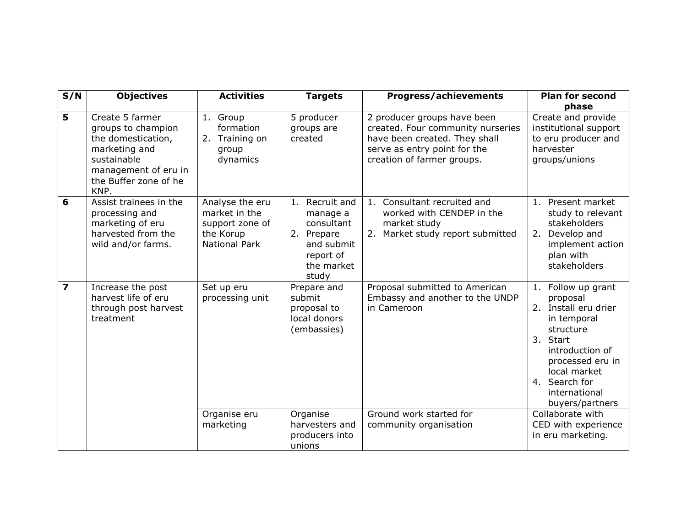| S/N            | <b>Objectives</b>                                                                                                                                    | <b>Activities</b>                                                                 | <b>Targets</b>                                                                                           | <b>Progress/achievements</b>                                                                                                                                    | <b>Plan for second</b>                                                                                                                                                                                     |
|----------------|------------------------------------------------------------------------------------------------------------------------------------------------------|-----------------------------------------------------------------------------------|----------------------------------------------------------------------------------------------------------|-----------------------------------------------------------------------------------------------------------------------------------------------------------------|------------------------------------------------------------------------------------------------------------------------------------------------------------------------------------------------------------|
|                |                                                                                                                                                      |                                                                                   |                                                                                                          |                                                                                                                                                                 | phase                                                                                                                                                                                                      |
| 5              | Create 5 farmer<br>groups to champion<br>the domestication,<br>marketing and<br>sustainable<br>management of eru in<br>the Buffer zone of he<br>KNP. | 1. Group<br>formation<br>2. Training on<br>group<br>dynamics                      | 5 producer<br>groups are<br>created                                                                      | 2 producer groups have been<br>created. Four community nurseries<br>have been created. They shall<br>serve as entry point for the<br>creation of farmer groups. | Create and provide<br>institutional support<br>to eru producer and<br>harvester<br>groups/unions                                                                                                           |
| 6              | Assist trainees in the<br>processing and<br>marketing of eru<br>harvested from the<br>wild and/or farms.                                             | Analyse the eru<br>market in the<br>support zone of<br>the Korup<br>National Park | 1. Recruit and<br>manage a<br>consultant<br>2. Prepare<br>and submit<br>report of<br>the market<br>study | 1. Consultant recruited and<br>worked with CENDEP in the<br>market study<br>Market study report submitted<br>2.                                                 | 1. Present market<br>study to relevant<br>stakeholders<br>2. Develop and<br>implement action<br>plan with<br>stakeholders                                                                                  |
| $\overline{z}$ | Increase the post<br>harvest life of eru<br>through post harvest<br>treatment                                                                        | Set up eru<br>processing unit                                                     | Prepare and<br>submit<br>proposal to<br>local donors<br>(embassies)                                      | Proposal submitted to American<br>Embassy and another to the UNDP<br>in Cameroon                                                                                | 1. Follow up grant<br>proposal<br>2. Install eru drier<br>in temporal<br>structure<br>3. Start<br>introduction of<br>processed eru in<br>local market<br>4. Search for<br>international<br>buyers/partners |
|                |                                                                                                                                                      | Organise eru<br>marketing                                                         | Organise<br>harvesters and<br>producers into<br>unions                                                   | Ground work started for<br>community organisation                                                                                                               | Collaborate with<br>CED with experience<br>in eru marketing.                                                                                                                                               |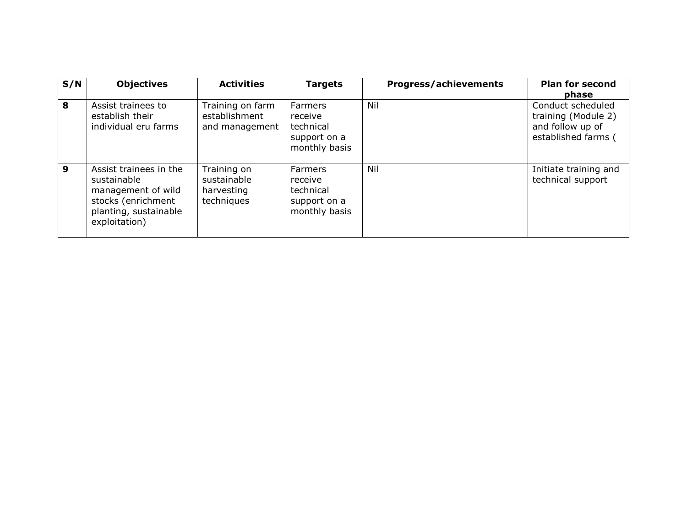| S/N            | <b>Objectives</b>                                                                                                           | <b>Activities</b>                                      | <b>Targets</b>                                                          | <b>Progress/achievements</b> | <b>Plan for second</b><br>phase                                                     |
|----------------|-----------------------------------------------------------------------------------------------------------------------------|--------------------------------------------------------|-------------------------------------------------------------------------|------------------------------|-------------------------------------------------------------------------------------|
| 8              | Assist trainees to<br>establish their<br>individual eru farms                                                               | Training on farm<br>establishment<br>and management    | <b>Farmers</b><br>receive<br>technical<br>support on a<br>monthly basis | Nil                          | Conduct scheduled<br>training (Module 2)<br>and follow up of<br>established farms ( |
| $\overline{9}$ | Assist trainees in the<br>sustainable<br>management of wild<br>stocks (enrichment<br>planting, sustainable<br>exploitation) | Training on<br>sustainable<br>harvesting<br>techniques | <b>Farmers</b><br>receive<br>technical<br>support on a<br>monthly basis | Nil                          | Initiate training and<br>technical support                                          |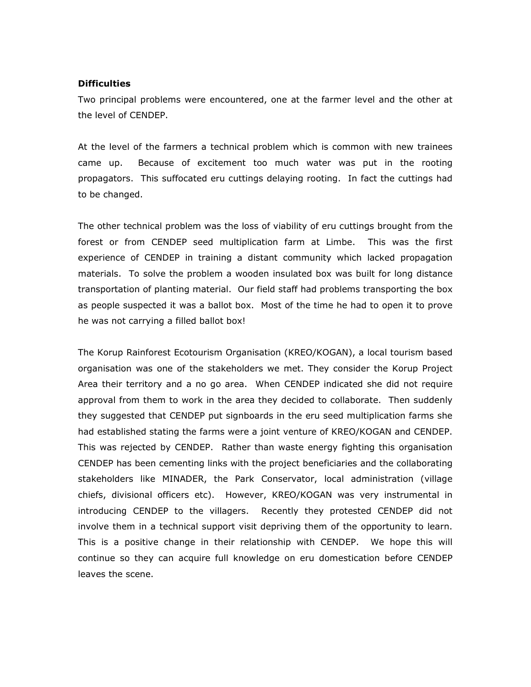### **Difficulties**

Two principal problems were encountered, one at the farmer level and the other at the level of CENDEP.

At the level of the farmers a technical problem which is common with new trainees came up. Because of excitement too much water was put in the rooting propagators. This suffocated eru cuttings delaying rooting. In fact the cuttings had to be changed.

The other technical problem was the loss of viability of eru cuttings brought from the forest or from CENDEP seed multiplication farm at Limbe. This was the first experience of CENDEP in training a distant community which lacked propagation materials. To solve the problem a wooden insulated box was built for long distance transportation of planting material. Our field staff had problems transporting the box as people suspected it was a ballot box. Most of the time he had to open it to prove he was not carrying a filled ballot box!

The Korup Rainforest Ecotourism Organisation (KREO/KOGAN), a local tourism based organisation was one of the stakeholders we met. They consider the Korup Project Area their territory and a no go area. When CENDEP indicated she did not require approval from them to work in the area they decided to collaborate. Then suddenly they suggested that CENDEP put signboards in the eru seed multiplication farms she had established stating the farms were a joint venture of KREO/KOGAN and CENDEP. This was rejected by CENDEP. Rather than waste energy fighting this organisation CENDEP has been cementing links with the project beneficiaries and the collaborating stakeholders like MINADER, the Park Conservator, local administration (village chiefs, divisional officers etc). However, KREO/KOGAN was very instrumental in introducing CENDEP to the villagers. Recently they protested CENDEP did not involve them in a technical support visit depriving them of the opportunity to learn. This is a positive change in their relationship with CENDEP. We hope this will continue so they can acquire full knowledge on eru domestication before CENDEP leaves the scene.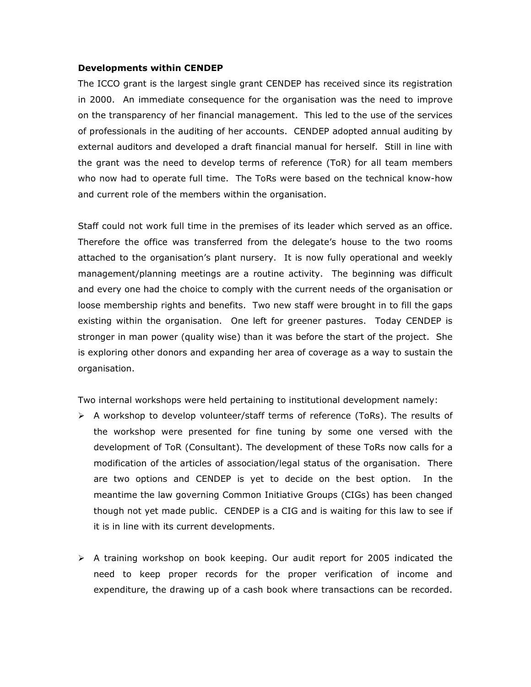#### Developments within CENDEP

The ICCO grant is the largest single grant CENDEP has received since its registration in 2000. An immediate consequence for the organisation was the need to improve on the transparency of her financial management. This led to the use of the services of professionals in the auditing of her accounts. CENDEP adopted annual auditing by external auditors and developed a draft financial manual for herself. Still in line with the grant was the need to develop terms of reference (ToR) for all team members who now had to operate full time. The ToRs were based on the technical know-how and current role of the members within the organisation.

Staff could not work full time in the premises of its leader which served as an office. Therefore the office was transferred from the delegate's house to the two rooms attached to the organisation's plant nursery. It is now fully operational and weekly management/planning meetings are a routine activity. The beginning was difficult and every one had the choice to comply with the current needs of the organisation or loose membership rights and benefits. Two new staff were brought in to fill the gaps existing within the organisation. One left for greener pastures. Today CENDEP is stronger in man power (quality wise) than it was before the start of the project. She is exploring other donors and expanding her area of coverage as a way to sustain the organisation.

Two internal workshops were held pertaining to institutional development namely:

- $\triangleright$  A workshop to develop volunteer/staff terms of reference (ToRs). The results of the workshop were presented for fine tuning by some one versed with the development of ToR (Consultant). The development of these ToRs now calls for a modification of the articles of association/legal status of the organisation. There are two options and CENDEP is yet to decide on the best option. In the meantime the law governing Common Initiative Groups (CIGs) has been changed though not yet made public. CENDEP is a CIG and is waiting for this law to see if it is in line with its current developments.
- A training workshop on book keeping. Our audit report for 2005 indicated the need to keep proper records for the proper verification of income and expenditure, the drawing up of a cash book where transactions can be recorded.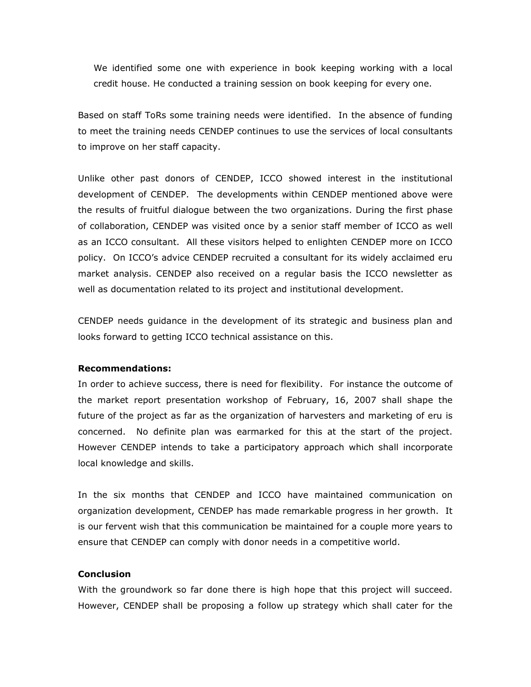We identified some one with experience in book keeping working with a local credit house. He conducted a training session on book keeping for every one.

Based on staff ToRs some training needs were identified. In the absence of funding to meet the training needs CENDEP continues to use the services of local consultants to improve on her staff capacity.

Unlike other past donors of CENDEP, ICCO showed interest in the institutional development of CENDEP. The developments within CENDEP mentioned above were the results of fruitful dialogue between the two organizations. During the first phase of collaboration, CENDEP was visited once by a senior staff member of ICCO as well as an ICCO consultant. All these visitors helped to enlighten CENDEP more on ICCO policy. On ICCO's advice CENDEP recruited a consultant for its widely acclaimed eru market analysis. CENDEP also received on a regular basis the ICCO newsletter as well as documentation related to its project and institutional development.

CENDEP needs guidance in the development of its strategic and business plan and looks forward to getting ICCO technical assistance on this.

#### Recommendations:

In order to achieve success, there is need for flexibility. For instance the outcome of the market report presentation workshop of February, 16, 2007 shall shape the future of the project as far as the organization of harvesters and marketing of eru is concerned. No definite plan was earmarked for this at the start of the project. However CENDEP intends to take a participatory approach which shall incorporate local knowledge and skills.

In the six months that CENDEP and ICCO have maintained communication on organization development, CENDEP has made remarkable progress in her growth. It is our fervent wish that this communication be maintained for a couple more years to ensure that CENDEP can comply with donor needs in a competitive world.

## **Conclusion**

With the groundwork so far done there is high hope that this project will succeed. However, CENDEP shall be proposing a follow up strategy which shall cater for the